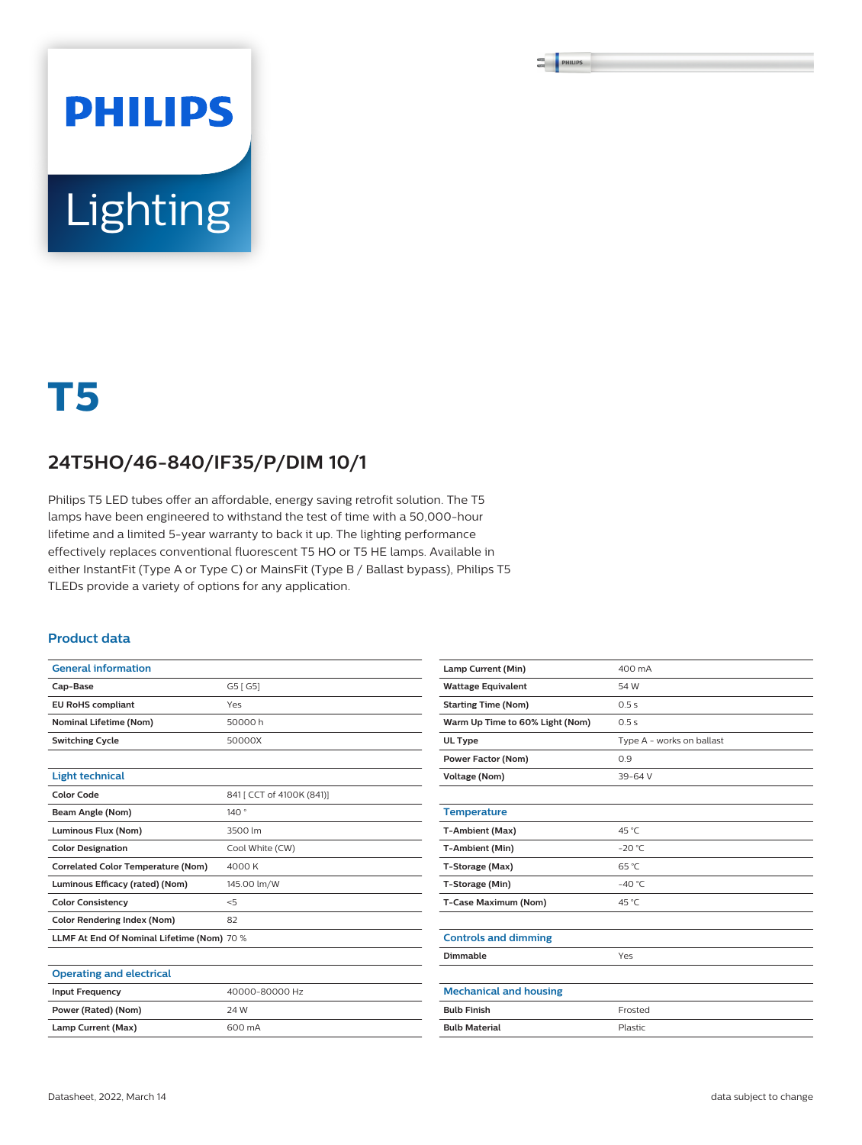# **PHILIPS** Lighting

## **T5**

### **24T5HO/46-840/IF35/P/DIM 10/1**

Philips T5 LED tubes offer an affordable, energy saving retrofit solution. The T5 lamps have been engineered to withstand the test of time with a 50,000-hour lifetime and a limited 5-year warranty to back it up. The lighting performance effectively replaces conventional fluorescent T5 HO or T5 HE lamps. Available in either InstantFit (Type A or Type C) or MainsFit (Type B / Ballast bypass), Philips T5 TLEDs provide a variety of options for any application.

#### **Product data**

| <b>General information</b>                 |                           |
|--------------------------------------------|---------------------------|
| Cap-Base                                   | G5 [ G5]                  |
| <b>EU RoHS compliant</b>                   | Yes                       |
| <b>Nominal Lifetime (Nom)</b>              | 50000 h                   |
| <b>Switching Cycle</b>                     | 50000X                    |
|                                            |                           |
| <b>Light technical</b>                     |                           |
| <b>Color Code</b>                          | 841 [ CCT of 4100K (841)] |
| Beam Angle (Nom)                           | 140°                      |
| Luminous Flux (Nom)                        | 3500 lm                   |
| <b>Color Designation</b>                   | Cool White (CW)           |
| <b>Correlated Color Temperature (Nom)</b>  | 4000 K                    |
| Luminous Efficacy (rated) (Nom)            | 145.00 lm/W               |
| <b>Color Consistency</b>                   | < 5                       |
| Color Rendering Index (Nom)                | 82                        |
| LLMF At End Of Nominal Lifetime (Nom) 70 % |                           |
|                                            |                           |
| <b>Operating and electrical</b>            |                           |
| <b>Input Frequency</b>                     | 40000-80000 Hz            |

| Lamp Current (Min)              | 400 mA                    |
|---------------------------------|---------------------------|
| <b>Wattage Equivalent</b>       | 54 W                      |
| <b>Starting Time (Nom)</b>      | 0.5s                      |
| Warm Up Time to 60% Light (Nom) | 0.5s                      |
| UL Type                         | Type A - works on ballast |
| <b>Power Factor (Nom)</b>       | 0.9                       |
| <b>Voltage (Nom)</b>            | $39 - 64V$                |
|                                 |                           |
| <b>Temperature</b>              |                           |
| T-Ambient (Max)                 | 45 °C                     |
| T-Ambient (Min)                 | $-20 °C$                  |
| T-Storage (Max)                 | 65 °C                     |
| T-Storage (Min)                 | $-40^{\circ}$ C           |
| T-Case Maximum (Nom)            | 45 °C                     |
|                                 |                           |
| <b>Controls and dimming</b>     |                           |
| Dimmable                        | Yes                       |
|                                 |                           |
| <b>Mechanical and housing</b>   |                           |
| <b>Bulb Finish</b>              | Frosted                   |
| <b>Bulb Material</b>            | Plastic                   |

**Power (Rated) (Nom)** 24 W Lamp Current (Max) 600 mA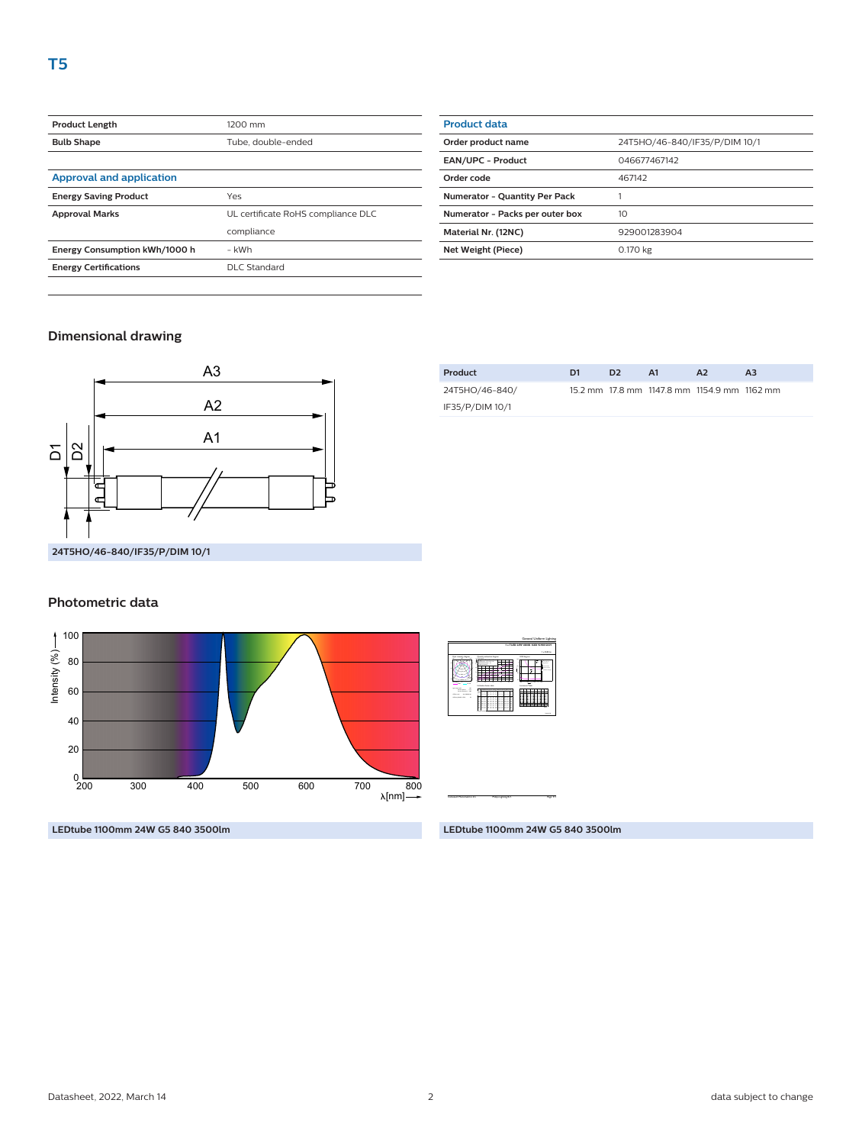| <b>Product Length</b>           | 1200 mm                            |
|---------------------------------|------------------------------------|
| <b>Bulb Shape</b>               | Tube, double-ended                 |
|                                 |                                    |
| <b>Approval and application</b> |                                    |
| <b>Energy Saving Product</b>    | Yes                                |
| <b>Approval Marks</b>           | UL certificate RoHS compliance DLC |
|                                 | compliance                         |
| Energy Consumption kWh/1000 h   | - kWh                              |
| <b>Energy Certifications</b>    | DLC Standard                       |
|                                 |                                    |

| <b>Product data</b>                  |                               |
|--------------------------------------|-------------------------------|
| Order product name                   | 24T5HO/46-840/IF35/P/DIM 10/1 |
| <b>EAN/UPC - Product</b>             | 046677467142                  |
| Order code                           | 467142                        |
| <b>Numerator - Quantity Per Pack</b> |                               |
| Numerator - Packs per outer box      | 10                            |
| Material Nr. (12NC)                  | 929001283904                  |
| Net Weight (Piece)                   | 0.170 kg                      |

#### **Dimensional drawing**



#### 24T5HO/46-840/ IF35/P/DIM 10/1 15.2 mm 17.8 mm 1147.8 mm 1154.9 mm 1162 mm

**Product D1 D2 A1 A2 A3**

#### **Photometric data**



2016-10-28 1 x 3500 lm Light output ratio 1.00 Service downward 0.88 CIE flux code 40 69 88 88 100 Polar imaging diagram and  $-180$ 180<sup>o</sup> 図 Utilisation factor table Ceiling mounted Room Index k  $\overline{\phantom{a}}$ 1.25  $-1$  $\mathbf{v}$  $-1$ 0.10  $-1$ 0.50  $-5.75$ 0.64  $-1$  $\approx$  $-1$  $-1$ 0.92  $\mathbf{u}$  $-1$ 0.10  $-1$ 0.41  $\rightarrow$ 0.54  $-1$ 0.680.73 0.77  $-1$  $-1$ 0.46 0.82  $\mathbf{u}$  $-1$  $-1$  $-1$  $\rightarrow$  $-1$  $-17$  $-1$  $\equiv$  1.  $-7$ 0.75  $\sim$  $\mathbf{u}$  $-1$  $\overline{\phantom{a}}$ 0.25  $\rightarrow$  $\rightarrow$  $-1$  $-1$  $\equiv$ 0.67  $-1$  $-1$  $^{10.0}$ 0.00  $-1$ 0.23 0.29 0.35 0.41 0.46 0.530.58 0.62 0.67  $-1$ Quantity estimation diagram nr. of luminaires  $\frac{1}{2}$ <sup>2</sup> 10 30 50 70 90 (m 300 lx  $50000$ 750 lx hroom: 2.8 m Reflectances: 0.70, 0.50, 0.20 Maintenance factor: 1.0 Ceiling mounted UGR diagram 4.0 4.0 8.0 12.0 16.0 16.0 m m  $\cdots$ Y <sup>h</sup>room: 2.8 m Refl: 0.70 0.50 0.20 Ceiling mounted : viewed endwise  $\cdot$  -  $\cdot$ 28 31 28 Luminance Table <sup>2</sup> (cd/m 0.0 15.0 30.0 45.0 60.0 75.0 90.0 45.0 50.0 60.0 65.0 75.0 80.0 90.0 Plane Cone <sup>27287</sup> <sup>25568</sup> <sup>22088</sup> <sup>20420</sup> <sup>17499</sup> <sup>16141</sup> <sup>13789</sup> <sup>30242</sup> <sup>28460</sup> <sup>24609</sup> <sup>22550</sup> <sup>18393</sup> <sup>16194</sup> <sup>12944</sup> <sup>12377</sup> <sup>42886</sup> <sup>41962</sup> <sup>40829</sup> <sup>39331</sup> <sup>37202</sup> <sup>34463</sup> <sup>30422</sup> <sup>24232</sup> <sup>14520</sup> <sup>7813</sup>

CalcuLuX Photometrics 4.5 Philips Lighting B.V. Page: 1/1 Page: 1/1

 **1 x TLED 24W 4000K 160D 9290012839**

General Uniform Lighting

**LEDtube 1100mm 24W G5 840 3500lm**

#### **LEDtube 1100mm 24W G5 840 3500lm**